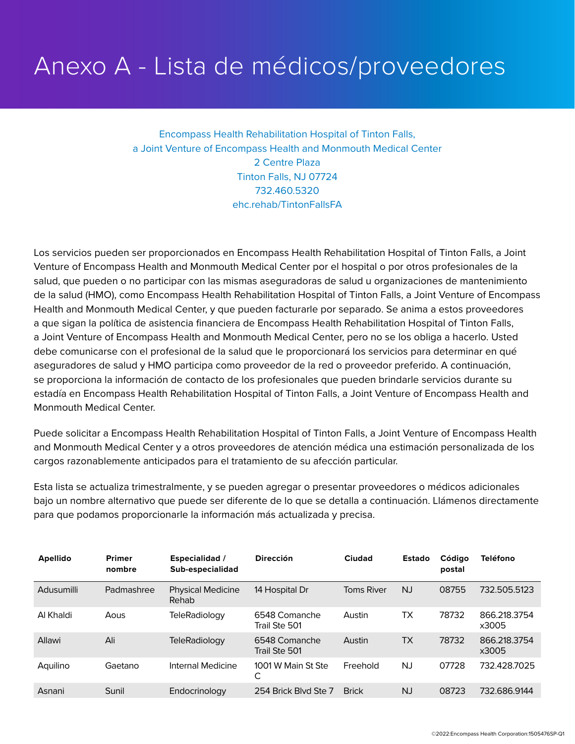## Anexo A - Lista de médicos/proveedores

Encompass Health Rehabilitation Hospital of Tinton Falls, a Joint Venture of Encompass Health and Monmouth Medical Center 2 Centre Plaza Tinton Falls, NJ 07724 732.460.5320 ehc.rehab/TintonFallsFA

Los servicios pueden ser proporcionados en Encompass Health Rehabilitation Hospital of Tinton Falls, a Joint Venture of Encompass Health and Monmouth Medical Center por el hospital o por otros profesionales de la salud, que pueden o no participar con las mismas aseguradoras de salud u organizaciones de mantenimiento de la salud (HMO), como Encompass Health Rehabilitation Hospital of Tinton Falls, a Joint Venture of Encompass Health and Monmouth Medical Center, y que pueden facturarle por separado. Se anima a estos proveedores a que sigan la política de asistencia financiera de Encompass Health Rehabilitation Hospital of Tinton Falls, a Joint Venture of Encompass Health and Monmouth Medical Center, pero no se los obliga a hacerlo. Usted debe comunicarse con el profesional de la salud que le proporcionará los servicios para determinar en qué aseguradores de salud y HMO participa como proveedor de la red o proveedor preferido. A continuación, se proporciona la información de contacto de los profesionales que pueden brindarle servicios durante su estadía en Encompass Health Rehabilitation Hospital of Tinton Falls, a Joint Venture of Encompass Health and Monmouth Medical Center.

Puede solicitar a Encompass Health Rehabilitation Hospital of Tinton Falls, a Joint Venture of Encompass Health and Monmouth Medical Center y a otros proveedores de atención médica una estimación personalizada de los cargos razonablemente anticipados para el tratamiento de su afección particular.

Esta lista se actualiza trimestralmente, y se pueden agregar o presentar proveedores o médicos adicionales bajo un nombre alternativo que puede ser diferente de lo que se detalla a continuación. Llámenos directamente para que podamos proporcionarle la información más actualizada y precisa.

| <b>Apellido</b> | <b>Primer</b><br>nombre | <b>Especialidad</b> /<br>Sub-especialidad | <b>Dirección</b>               | Ciudad            | <b>Estado</b> | Código<br>postal | Teléfono              |
|-----------------|-------------------------|-------------------------------------------|--------------------------------|-------------------|---------------|------------------|-----------------------|
| Adusumilli      | Padmashree              | <b>Physical Medicine</b><br>Rehab         | 14 Hospital Dr                 | <b>Toms River</b> | <b>NJ</b>     | 08755            | 732.505.5123          |
| Al Khaldi       | Aous                    | TeleRadiology                             | 6548 Comanche<br>Trail Ste 501 | Austin            | ТX            | 78732            | 866.218.3754<br>x3005 |
| Allawi          | Ali                     | TeleRadiology                             | 6548 Comanche<br>Trail Ste 501 | Austin            | <b>TX</b>     | 78732            | 866.218.3754<br>x3005 |
| Aquilino        | Gaetano                 | Internal Medicine                         | 1001 W Main St Ste<br>С        | Freehold          | NJ            | 07728            | 732.428.7025          |
| Asnani          | Sunil                   | Endocrinology                             | 254 Brick Blvd Ste 7           | <b>Brick</b>      | <b>NJ</b>     | 08723            | 732.686.9144          |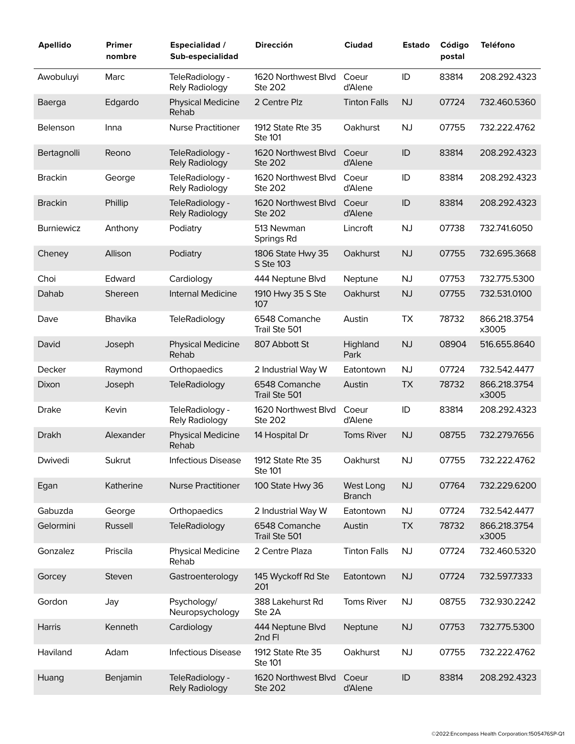| <b>Apellido</b>   | Primer<br>nombre | <b>Especialidad /</b><br>Sub-especialidad | <b>Dirección</b>                      | <b>Ciudad</b>              | <b>Estado</b> | Código<br>postal | <b>Teléfono</b>       |
|-------------------|------------------|-------------------------------------------|---------------------------------------|----------------------------|---------------|------------------|-----------------------|
| Awobuluyi         | Marc             | TeleRadiology -<br>Rely Radiology         | 1620 Northwest Blvd<br><b>Ste 202</b> | Coeur<br>d'Alene           | ID            | 83814            | 208.292.4323          |
| Baerga            | Edgardo          | <b>Physical Medicine</b><br>Rehab         | 2 Centre Plz                          | <b>Tinton Falls</b>        | <b>NJ</b>     | 07724            | 732.460.5360          |
| Belenson          | Inna             | <b>Nurse Practitioner</b>                 | 1912 State Rte 35<br><b>Ste 101</b>   | Oakhurst                   | <b>NJ</b>     | 07755            | 732.222.4762          |
| Bertagnolli       | Reono            | TeleRadiology -<br>Rely Radiology         | 1620 Northwest Blvd<br><b>Ste 202</b> | Coeur<br>d'Alene           | ID            | 83814            | 208.292.4323          |
| <b>Brackin</b>    | George           | TeleRadiology -<br>Rely Radiology         | 1620 Northwest Blvd<br>Ste 202        | Coeur<br>d'Alene           | ID            | 83814            | 208.292.4323          |
| <b>Brackin</b>    | Phillip          | TeleRadiology -<br>Rely Radiology         | 1620 Northwest Blvd<br><b>Ste 202</b> | Coeur<br>d'Alene           | ID            | 83814            | 208.292.4323          |
| <b>Burniewicz</b> | Anthony          | Podiatry                                  | 513 Newman<br>Springs Rd              | Lincroft                   | <b>NJ</b>     | 07738            | 732.741.6050          |
| Cheney            | Allison          | Podiatry                                  | 1806 State Hwy 35<br>S Ste 103        | Oakhurst                   | <b>NJ</b>     | 07755            | 732.695.3668          |
| Choi              | Edward           | Cardiology                                | 444 Neptune Blvd                      | Neptune                    | <b>NJ</b>     | 07753            | 732.775.5300          |
| Dahab             | Shereen          | <b>Internal Medicine</b>                  | 1910 Hwy 35 S Ste<br>107              | Oakhurst                   | <b>NJ</b>     | 07755            | 732.531.0100          |
| Dave              | Bhavika          | TeleRadiology                             | 6548 Comanche<br>Trail Ste 501        | Austin                     | <b>TX</b>     | 78732            | 866.218.3754<br>x3005 |
| David             | Joseph           | <b>Physical Medicine</b><br>Rehab         | 807 Abbott St                         | Highland<br>Park           | <b>NJ</b>     | 08904            | 516.655.8640          |
| Decker            | Raymond          | Orthopaedics                              | 2 Industrial Way W                    | Eatontown                  | <b>NJ</b>     | 07724            | 732.542.4477          |
| Dixon             | Joseph           | TeleRadiology                             | 6548 Comanche<br>Trail Ste 501        | Austin                     | <b>TX</b>     | 78732            | 866.218.3754<br>x3005 |
| <b>Drake</b>      | Kevin            | TeleRadiology -<br>Rely Radiology         | 1620 Northwest Blvd<br><b>Ste 202</b> | Coeur<br>d'Alene           | ID            | 83814            | 208.292.4323          |
| <b>Drakh</b>      | Alexander        | <b>Physical Medicine</b><br>Rehab         | 14 Hospital Dr                        | Toms River                 | <b>NJ</b>     | 08755            | 732.279.7656          |
| Dwivedi           | Sukrut           | Infectious Disease                        | 1912 State Rte 35<br>Ste 101          | Oakhurst                   | NJ            | 07755            | 732.222.4762          |
| Egan              | Katherine        | <b>Nurse Practitioner</b>                 | 100 State Hwy 36                      | West Long<br><b>Branch</b> | NJ            | 07764            | 732.229.6200          |
| Gabuzda           | George           | Orthopaedics                              | 2 Industrial Way W                    | Eatontown                  | <b>NJ</b>     | 07724            | 732.542.4477          |
| Gelormini         | Russell          | <b>TeleRadiology</b>                      | 6548 Comanche<br>Trail Ste 501        | Austin                     | <b>TX</b>     | 78732            | 866.218.3754<br>x3005 |
| Gonzalez          | Priscila         | <b>Physical Medicine</b><br>Rehab         | 2 Centre Plaza                        | <b>Tinton Falls</b>        | <b>NJ</b>     | 07724            | 732.460.5320          |
| Gorcey            | Steven           | Gastroenterology                          | 145 Wyckoff Rd Ste<br>201             | Eatontown                  | NJ            | 07724            | 732.597.7333          |
| Gordon            | Jay              | Psychology/<br>Neuropsychology            | 388 Lakehurst Rd<br>Ste 2A            | Toms River                 | NJ            | 08755            | 732.930.2242          |
| Harris            | Kenneth          | Cardiology                                | 444 Neptune Blvd<br>2nd Fl            | Neptune                    | NJ            | 07753            | 732.775.5300          |
| Haviland          | Adam             | Infectious Disease                        | 1912 State Rte 35<br>Ste 101          | Oakhurst                   | <b>NJ</b>     | 07755            | 732.222.4762          |
| Huang             | Benjamin         | TeleRadiology -<br>Rely Radiology         | 1620 Northwest Blvd<br>Ste 202        | Coeur<br>d'Alene           | $\sf ID$      | 83814            | 208.292.4323          |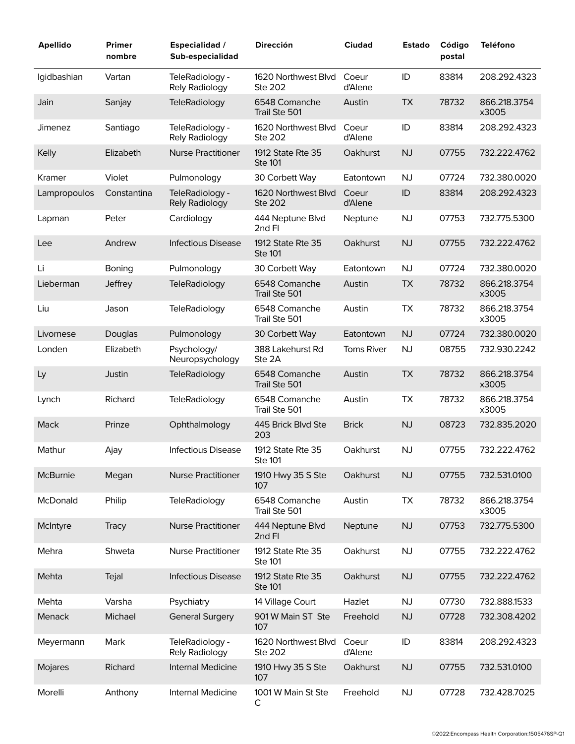| <b>Apellido</b> | <b>Primer</b><br>nombre | <b>Especialidad</b> /<br>Sub-especialidad | Dirección                             | <b>Ciudad</b>     | <b>Estado</b> | Código<br>postal | <b>Teléfono</b>       |
|-----------------|-------------------------|-------------------------------------------|---------------------------------------|-------------------|---------------|------------------|-----------------------|
| Igidbashian     | Vartan                  | TeleRadiology -<br>Rely Radiology         | 1620 Northwest Blvd<br><b>Ste 202</b> | Coeur<br>d'Alene  | ID            | 83814            | 208.292.4323          |
| Jain            | Sanjay                  | <b>TeleRadiology</b>                      | 6548 Comanche<br>Trail Ste 501        | Austin            | <b>TX</b>     | 78732            | 866.218.3754<br>x3005 |
| Jimenez         | Santiago                | TeleRadiology -<br>Rely Radiology         | 1620 Northwest Blvd<br>Ste 202        | Coeur<br>d'Alene  | ID            | 83814            | 208.292.4323          |
| Kelly           | Elizabeth               | <b>Nurse Practitioner</b>                 | 1912 State Rte 35<br><b>Ste 101</b>   | Oakhurst          | NJ            | 07755            | 732.222.4762          |
| Kramer          | Violet                  | Pulmonology                               | 30 Corbett Way                        | Eatontown         | <b>NJ</b>     | 07724            | 732.380.0020          |
| Lampropoulos    | Constantina             | TeleRadiology -<br>Rely Radiology         | 1620 Northwest Blvd<br><b>Ste 202</b> | Coeur<br>d'Alene  | ID            | 83814            | 208.292.4323          |
| Lapman          | Peter                   | Cardiology                                | 444 Neptune Blvd<br>2nd Fl            | Neptune           | <b>NJ</b>     | 07753            | 732.775.5300          |
| Lee             | Andrew                  | <b>Infectious Disease</b>                 | 1912 State Rte 35<br><b>Ste 101</b>   | Oakhurst          | NJ            | 07755            | 732.222.4762          |
| Li              | Boning                  | Pulmonology                               | 30 Corbett Way                        | Eatontown         | <b>NJ</b>     | 07724            | 732.380.0020          |
| Lieberman       | Jeffrey                 | <b>TeleRadiology</b>                      | 6548 Comanche<br>Trail Ste 501        | Austin            | <b>TX</b>     | 78732            | 866.218.3754<br>x3005 |
| Liu             | Jason                   | <b>TeleRadiology</b>                      | 6548 Comanche<br>Trail Ste 501        | Austin            | <b>TX</b>     | 78732            | 866.218.3754<br>x3005 |
| Livornese       | Douglas                 | Pulmonology                               | 30 Corbett Way                        | Eatontown         | NJ            | 07724            | 732.380.0020          |
| Londen          | Elizabeth               | Psychology/<br>Neuropsychology            | 388 Lakehurst Rd<br>Ste 2A            | <b>Toms River</b> | NJ            | 08755            | 732.930.2242          |
| Ly              | Justin                  | <b>TeleRadiology</b>                      | 6548 Comanche<br>Trail Ste 501        | Austin            | <b>TX</b>     | 78732            | 866.218.3754<br>x3005 |
| Lynch           | Richard                 | <b>TeleRadiology</b>                      | 6548 Comanche<br>Trail Ste 501        | Austin            | TX            | 78732            | 866.218.3754<br>x3005 |
| Mack            | Prinze                  | Ophthalmology                             | 445 Brick Blvd Ste<br>203             | <b>Brick</b>      | <b>NJ</b>     | 08723            | 732.835.2020          |
| Mathur          | Ajay                    | <b>Infectious Disease</b>                 | 1912 State Rte 35<br>Ste 101          | Oakhurst          | <b>NJ</b>     | 07755            | 732.222.4762          |
| McBurnie        | Megan                   | <b>Nurse Practitioner</b>                 | 1910 Hwy 35 S Ste<br>107              | Oakhurst          | NJ            | 07755            | 732.531.0100          |
| McDonald        | Philip                  | <b>TeleRadiology</b>                      | 6548 Comanche<br>Trail Ste 501        | Austin            | <b>TX</b>     | 78732            | 866.218.3754<br>x3005 |
| McIntyre        | <b>Tracy</b>            | <b>Nurse Practitioner</b>                 | 444 Neptune Blvd<br>2nd Fl            | Neptune           | NJ            | 07753            | 732.775.5300          |
| Mehra           | Shweta                  | <b>Nurse Practitioner</b>                 | 1912 State Rte 35<br>Ste 101          | Oakhurst          | <b>NJ</b>     | 07755            | 732.222.4762          |
| Mehta           | Tejal                   | <b>Infectious Disease</b>                 | 1912 State Rte 35<br><b>Ste 101</b>   | Oakhurst          | NJ            | 07755            | 732.222.4762          |
| Mehta           | Varsha                  | Psychiatry                                | 14 Village Court                      | Hazlet            | <b>NJ</b>     | 07730            | 732.888.1533          |
| Menack          | Michael                 | <b>General Surgery</b>                    | 901 W Main ST Ste<br>107              | Freehold          | NJ            | 07728            | 732.308.4202          |
| Meyermann       | Mark                    | TeleRadiology -<br>Rely Radiology         | 1620 Northwest Blvd<br>Ste 202        | Coeur<br>d'Alene  | ID            | 83814            | 208.292.4323          |
| Mojares         | Richard                 | Internal Medicine                         | 1910 Hwy 35 S Ste<br>107              | Oakhurst          | NJ            | 07755            | 732.531.0100          |
| Morelli         | Anthony                 | Internal Medicine                         | 1001 W Main St Ste<br>С               | Freehold          | <b>NJ</b>     | 07728            | 732.428.7025          |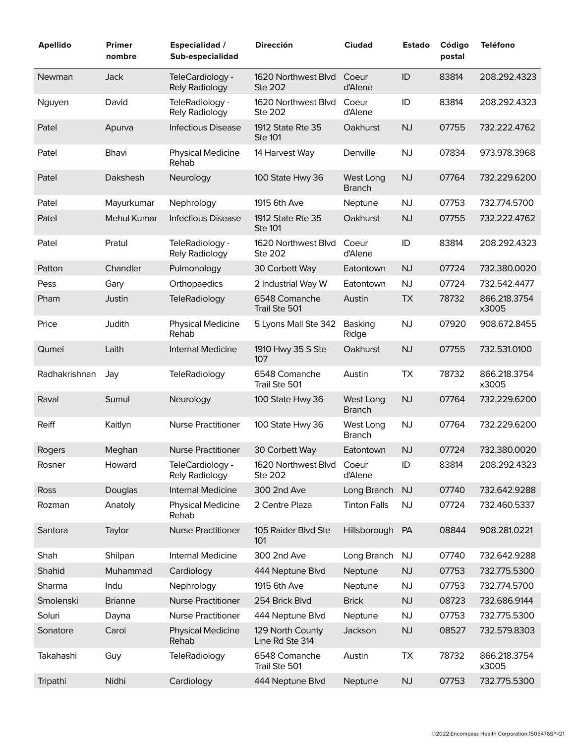| <b>Apellido</b> | <b>Primer</b><br>nombre | <b>Especialidad /</b><br>Sub-especialidad | <b>Dirección</b>                      | <b>Ciudad</b>              | <b>Estado</b> | Código<br>postal | <b>Teléfono</b>       |
|-----------------|-------------------------|-------------------------------------------|---------------------------------------|----------------------------|---------------|------------------|-----------------------|
| Newman          | Jack                    | TeleCardiology -<br><b>Rely Radiology</b> | 1620 Northwest Blyd<br><b>Ste 202</b> | Coeur<br>d'Alene           | ID            | 83814            | 208.292.4323          |
| Nguyen          | David                   | TeleRadiology -<br>Rely Radiology         | 1620 Northwest Blvd<br><b>Ste 202</b> | Coeur<br>d'Alene           | ID            | 83814            | 208.292.4323          |
| Patel           | Apurva                  | <b>Infectious Disease</b>                 | 1912 State Rte 35<br><b>Ste 101</b>   | Oakhurst                   | <b>NJ</b>     | 07755            | 732.222.4762          |
| Patel           | Bhavi                   | <b>Physical Medicine</b><br>Rehab         | 14 Harvest Way                        | Denville                   | <b>NJ</b>     | 07834            | 973.978.3968          |
| Patel           | Dakshesh                | Neurology                                 | 100 State Hwy 36                      | West Long<br><b>Branch</b> | <b>NJ</b>     | 07764            | 732.229.6200          |
| Patel           | Mayurkumar              | Nephrology                                | 1915 6th Ave                          | Neptune                    | <b>NJ</b>     | 07753            | 732.774.5700          |
| Patel           | <b>Mehul Kumar</b>      | <b>Infectious Disease</b>                 | 1912 State Rte 35<br><b>Ste 101</b>   | Oakhurst                   | <b>NJ</b>     | 07755            | 732.222.4762          |
| Patel           | Pratul                  | TeleRadiology -<br>Rely Radiology         | 1620 Northwest Blvd<br><b>Ste 202</b> | Coeur<br>d'Alene           | ID            | 83814            | 208.292.4323          |
| Patton          | Chandler                | Pulmonology                               | 30 Corbett Way                        | Eatontown                  | <b>NJ</b>     | 07724            | 732.380.0020          |
| Pess            | Gary                    | Orthopaedics                              | 2 Industrial Way W                    | Eatontown                  | <b>NJ</b>     | 07724            | 732.542.4477          |
| Pham            | Justin                  | <b>TeleRadiology</b>                      | 6548 Comanche<br>Trail Ste 501        | Austin                     | <b>TX</b>     | 78732            | 866.218.3754<br>x3005 |
| Price           | Judith                  | Physical Medicine<br>Rehab                | 5 Lyons Mall Ste 342                  | Basking<br>Ridge           | <b>NJ</b>     | 07920            | 908.672.8455          |
| Qumei           | Laith                   | Internal Medicine                         | 1910 Hwy 35 S Ste<br>107              | Oakhurst                   | <b>NJ</b>     | 07755            | 732.531.0100          |
| Radhakrishnan   | Jay                     | <b>TeleRadiology</b>                      | 6548 Comanche<br>Trail Ste 501        | Austin                     | <b>TX</b>     | 78732            | 866.218.3754<br>x3005 |
| Raval           | Sumul                   | Neurology                                 | 100 State Hwy 36                      | West Long<br><b>Branch</b> | <b>NJ</b>     | 07764            | 732.229.6200          |
| <b>Reiff</b>    | Kaitlyn                 | <b>Nurse Practitioner</b>                 | 100 State Hwy 36                      | West Long<br><b>Branch</b> | <b>NJ</b>     | 07764            | 732.229.6200          |
| Rogers          | Meghan                  | <b>Nurse Practitioner</b>                 | 30 Corbett Way                        | Eatontown                  | <b>NJ</b>     | 07724            | 732.380.0020          |
| Rosner          | Howard                  | TeleCardiology -<br>Rely Radiology        | 1620 Northwest Blvd<br><b>Ste 202</b> | Coeur<br>d'Alene           | ID            | 83814            | 208.292.4323          |
| Ross            | Douglas                 | Internal Medicine                         | 300 2nd Ave                           | Long Branch                | <b>NJ</b>     | 07740            | 732.642.9288          |
| Rozman          | Anatoly                 | <b>Physical Medicine</b><br>Rehab         | 2 Centre Plaza                        | <b>Tinton Falls</b>        | <b>NJ</b>     | 07724            | 732.460.5337          |
| Santora         | Taylor                  | <b>Nurse Practitioner</b>                 | 105 Raider Blvd Ste<br>101            | Hillsborough               | PA            | 08844            | 908.281.0221          |
| Shah            | Shilpan                 | Internal Medicine                         | 300 2nd Ave                           | Long Branch                | <b>NJ</b>     | 07740            | 732.642.9288          |
| Shahid          | Muhammad                | Cardiology                                | 444 Neptune Blvd                      | Neptune                    | NJ            | 07753            | 732.775.5300          |
| Sharma          | Indu                    | Nephrology                                | 1915 6th Ave                          | Neptune                    | <b>NJ</b>     | 07753            | 732.774.5700          |
| Smolenski       | <b>Brianne</b>          | <b>Nurse Practitioner</b>                 | 254 Brick Blvd                        | <b>Brick</b>               | NJ            | 08723            | 732.686.9144          |
| Soluri          | Dayna                   | <b>Nurse Practitioner</b>                 | 444 Neptune Blvd                      | Neptune                    | <b>NJ</b>     | 07753            | 732.775.5300          |
| Sonatore        | Carol                   | <b>Physical Medicine</b><br>Rehab         | 129 North County<br>Line Rd Ste 314   | Jackson                    | <b>NJ</b>     | 08527            | 732.579.8303          |
| Takahashi       | Guy                     | <b>TeleRadiology</b>                      | 6548 Comanche<br>Trail Ste 501        | Austin                     | <b>TX</b>     | 78732            | 866.218.3754<br>x3005 |
| Tripathi        | Nidhi                   | Cardiology                                | 444 Neptune Blvd                      | Neptune                    | NJ            | 07753            | 732.775.5300          |